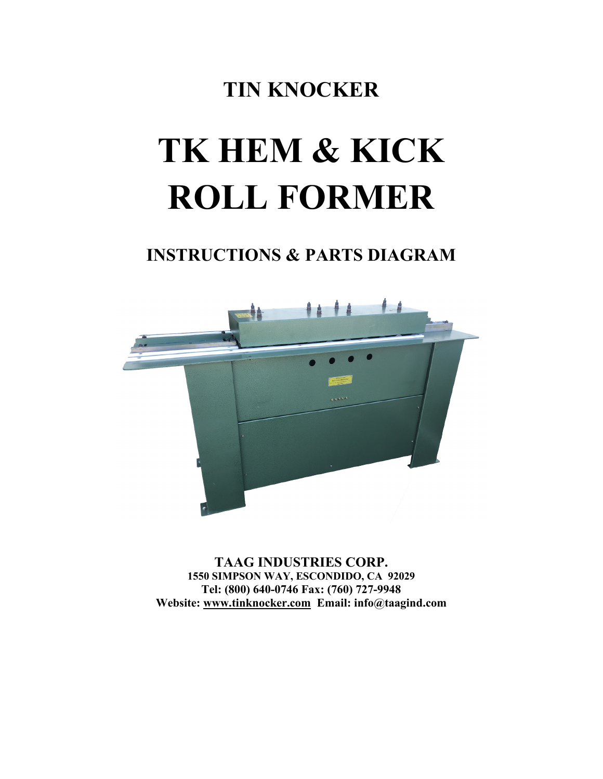# **TIN KNOCKER**

# **TK HEM & KICK ROLL FORMER**

# **INSTRUCTIONS & PARTS DIAGRAM**



**TAAG INDUSTRIES CORP. 1550 SIMPSON WAY, ESCONDIDO, CA 92029 Tel: (800) 640-0746 Fax: (760) 727-9948 Website: [www.tinknocker.com](http://www.tinknocker.com/) Email: info@taagind.com**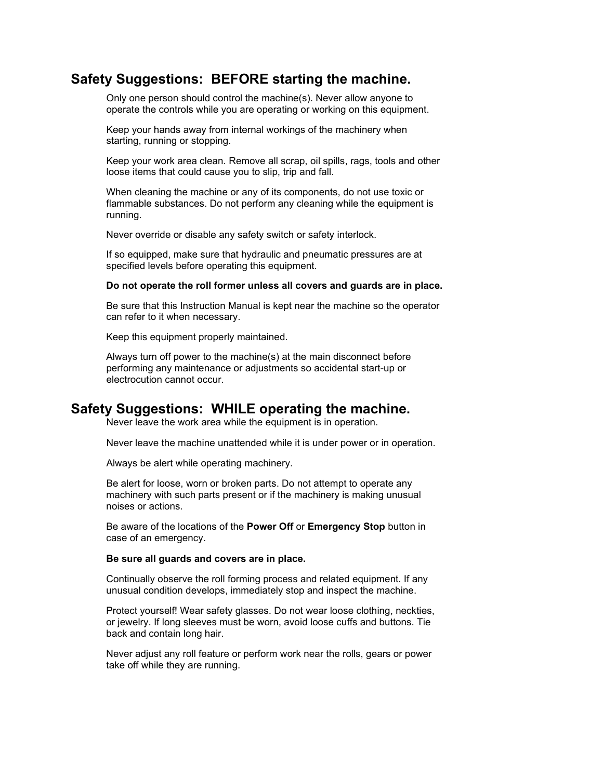## **Safety Suggestions: BEFORE starting the machine.**

Only one person should control the machine(s). Never allow anyone to operate the controls while you are operating or working on this equipment.

Keep your hands away from internal workings of the machinery when starting, running or stopping.

Keep your work area clean. Remove all scrap, oil spills, rags, tools and other loose items that could cause you to slip, trip and fall.

When cleaning the machine or any of its components, do not use toxic or flammable substances. Do not perform any cleaning while the equipment is running.

Never override or disable any safety switch or safety interlock.

If so equipped, make sure that hydraulic and pneumatic pressures are at specified levels before operating this equipment.

#### **Do not operate the roll former unless all covers and guards are in place.**

Be sure that this Instruction Manual is kept near the machine so the operator can refer to it when necessary.

Keep this equipment properly maintained.

Always turn off power to the machine(s) at the main disconnect before performing any maintenance or adjustments so accidental start-up or electrocution cannot occur.

### **Safety Suggestions: WHILE operating the machine.**

Never leave the work area while the equipment is in operation.

Never leave the machine unattended while it is under power or in operation.

Always be alert while operating machinery.

Be alert for loose, worn or broken parts. Do not attempt to operate any machinery with such parts present or if the machinery is making unusual noises or actions.

Be aware of the locations of the **Power Off** or **Emergency Stop** button in case of an emergency.

#### **Be sure all guards and covers are in place.**

Continually observe the roll forming process and related equipment. If any unusual condition develops, immediately stop and inspect the machine.

Protect yourself! Wear safety glasses. Do not wear loose clothing, neckties, or jewelry. If long sleeves must be worn, avoid loose cuffs and buttons. Tie back and contain long hair.

Never adjust any roll feature or perform work near the rolls, gears or power take off while they are running.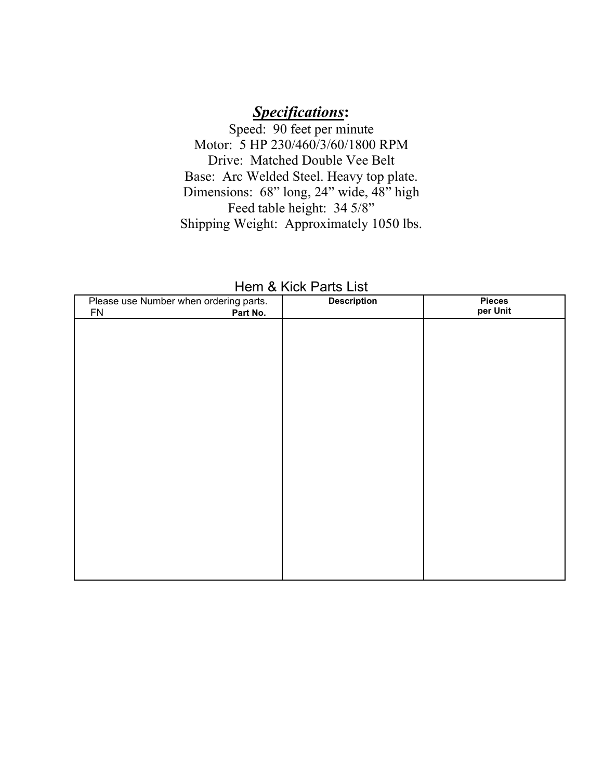# *Specifications***:**

Speed: 90 feet per minute Motor: 5 HP 230/460/3/60/1800 RPM Drive: Matched Double Vee Belt Base: Arc Welded Steel. Heavy top plate. Dimensions: 68" long, 24" wide, 48" high Feed table height: 34 5/8" Shipping Weight: Approximately 1050 lbs.

| Please use Number when ordering parts.<br><b>FN</b><br>Part No. | <b>Description</b> | <b>Pieces</b><br>per Unit |
|-----------------------------------------------------------------|--------------------|---------------------------|
|                                                                 |                    |                           |
|                                                                 |                    |                           |
|                                                                 |                    |                           |
|                                                                 |                    |                           |
|                                                                 |                    |                           |
|                                                                 |                    |                           |
|                                                                 |                    |                           |
|                                                                 |                    |                           |
|                                                                 |                    |                           |
|                                                                 |                    |                           |
|                                                                 |                    |                           |

| Hem & Kick Parts List |  |  |  |
|-----------------------|--|--|--|
|-----------------------|--|--|--|